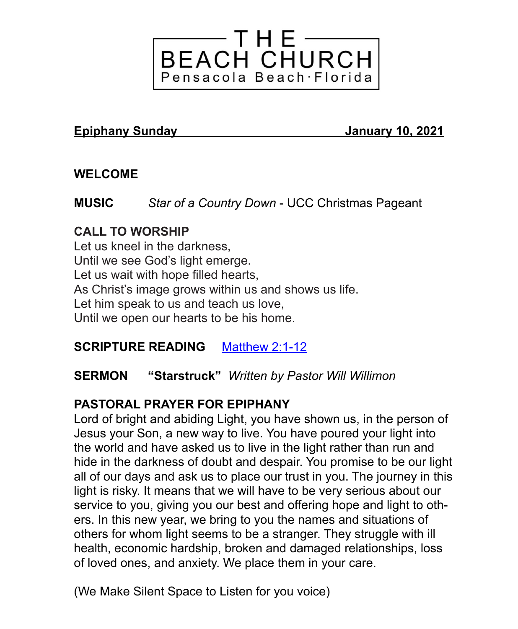

#### **Epiphany Sunday January 10, 2021**

## **WELCOME**

**MUSIC** *Star of a Country Down* - UCC Christmas Pageant

## **CALL TO WORSHIP**

Let us kneel in the darkness, Until we see God's light emerge. Let us wait with hope filled hearts, As Christ's image grows within us and shows us life. Let him speak to us and teach us love, Until we open our hearts to be his home.

## **SCRIPTURE READING** [Matthew 2:1-12](https://lectionary.library.vanderbilt.edu/texts.php?id=59)

#### **SERMON "Starstruck"** *Written by Pastor Will Willimon*

## **PASTORAL PRAYER FOR EPIPHANY**

Lord of bright and abiding Light, you have shown us, in the person of Jesus your Son, a new way to live. You have poured your light into the world and have asked us to live in the light rather than run and hide in the darkness of doubt and despair. You promise to be our light all of our days and ask us to place our trust in you. The journey in this light is risky. It means that we will have to be very serious about our service to you, giving you our best and offering hope and light to others. In this new year, we bring to you the names and situations of others for whom light seems to be a stranger. They struggle with ill health, economic hardship, broken and damaged relationships, loss of loved ones, and anxiety. We place them in your care.

(We Make Silent Space to Listen for you voice)